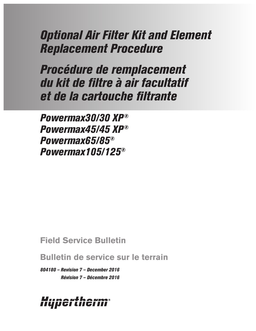# *Optional Air Filter Kit and Element Replacement Procedure*

*Procédure de remplacement du kit de filtre à air facultatif et de la cartouche filtrante*

*Powermax30/30 XP® Powermax45/45 XP® Powermax65/85® Powermax105/125®*

# **Field Service Bulletin**

**Bulletin de service sur le terrain**

*804180 – Revision 7 – December 2016 Révision 7 – Décembre 2016*

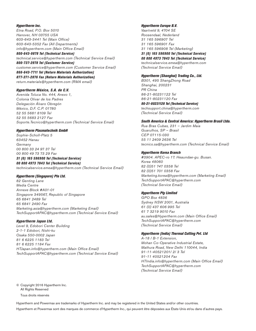#### *Hypertherm Inc.*

Etna Road, P.O. Box 5010 Hanover, NH 03755 USA 603-643-3441 Tel (Main Office) 603-643-5352 Fax (All Departments) info@hypertherm.com (Main Office Email)

*800-643-9878 Tel (Technical Service)* technical.service@hypertherm.com (Technical Service Email) *800-737-2978 Tel (Customer Service)* customer.service@hypertherm.com (Customer Service Email) *866-643-7711 Tel (Return Materials Authorization) 877-371-2876 Fax (Return Materials Authorization)* return.materials@hypertherm.com (RMA email)

#### *Hypertherm México, S.A. de C.V.*

Avenida Toluca No. 444, Anexo 1, Colonia Olivar de los Padres Delegación Álvaro Obregón México, D.F. C.P. 01780 52 55 5681 8109 Tel 52 55 5683 2127 Fax Soporte.Tecnico@hypertherm.com (Technical Service Email)

#### *Hypertherm Plasmatechnik GmbH*

Sophie-Scholl-Platz 5 63452 Hanau Germany 00 800 33 24 97 37 Tel 00 800 49 73 73 29 Fax

#### *31 (0) 165 596900 Tel (Technical Service) 00 800 4973 7843 Tel (Technical Service)* technicalservice.emea@hypertherm.com (Technical Service Email)

#### *Hypertherm (Singapore) Pte Ltd.*

82 Genting Lane Media Centre Annexe Block #A01-01 Singapore 349567, Republic of Singapore 65 6841 2489 Tel 65 6841 2490 Fax Marketing.asia@hypertherm.com (Marketing Email) TechSupportAPAC@hypertherm.com (Technical Service Email)

#### *Hypertherm Japan Ltd.*

Level 9, Edobori Center Building 2-1-1 Edobori, Nishi-ku Osaka 550-0002 Japan 81 6 6225 1183 Tel 81 6 6225 1184 Fax HTJapan.info@hypertherm.com (Main Office Email) TechSupportAPAC@hypertherm.com (Technical Service Email)

#### *Hypertherm Europe B.V.*

Vaartveld 9, 4704 SE Roosendaal, Nederland 31 165 596907 Tel 31 165 596901 Fax 31 165 596908 Tel (Marketing) *31 (0) 165 596900 Tel (Technical Service) 00 800 4973 7843 Tel (Technical Service)* technicalservice.emea@hypertherm.com (Technical Service Email)

#### *Hypertherm (Shanghai) Trading Co., Ltd.*

B301, 495 ShangZhong Road Shanghai, 200231 PR China 86-21-80231122 Tel 86-21-80231120 Fax *86-21-80231128 Tel (Technical Service)* techsupport.china@hypertherm.com (Technical Service Email)

#### *South America & Central America: Hypertherm Brasil Ltda.*

Rua Bras Cubas, 231 – Jardim Maia Guarulhos, SP – Brasil CEP 07115-030 55 11 2409 2636 Tel tecnico.sa@hypertherm.com (Technical Service Email)

#### *Hypertherm Korea Branch*

#3904. APEC-ro 17. Heaundae-gu. Busan. Korea 48060 82 (0)51 747 0358 Tel 82 (0)51 701 0358 Fax Marketing.korea@hypertherm.com (Marketing Email) TechSupportAPAC@hypertherm.com (Technical Service Email)

#### *Hypertherm Pty Limited*

GPO Box 4836 Sydney NSW 2001, Australia 61 (0) 437 606 995 Tel 61 7 3219 9010 Fax au.sales@Hypertherm.com (Main Office Email) TechSupportAPAC@hypertherm.com (Technical Service Email)

#### *Hypertherm (India) Thermal Cutting Pvt. Ltd*

A-18 / B-1 Extension, Mohan Co-Operative Industrial Estate, Mathura Road, New Delhi 110044, India 91-11-40521201/ 2/ 3 Tel 91-11 40521204 Fax HTIndia.info@hypertherm.com (Main Office Email) TechSupportAPAC@hypertherm.com (Technical Service Email)

© Copyright 2016 Hypertherm Inc. All Rights Reserved

Tous droits réservés

Hypertherm and Powermax are trademarks of Hypertherm Inc. and may be registered in the United States and/or other countries.

Hypertherm et Powermax sont des marques de commerce d'Hypertherm Inc., qui peuvent être déposées aux États-Unis et/ou dans d'autres pays.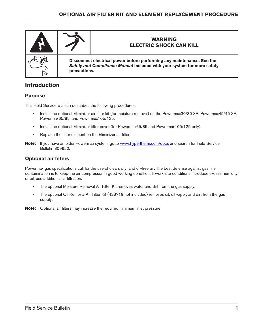

# **Introduction**

# **Purpose**

This Field Service Bulletin describes the following procedures:

- Install the optional Eliminizer air filter kit (for moisture removal) on the Powermax30/30 XP, Powermax45/45 XP, Powermax65/85, and Powermax105/125.
- Install the optional Eliminizer filter cover (for Powermax65/85 and Powermax105/125 only).
- Replace the filter element on the Eliminizer air filter.
- **Note:** If you have an older Powermax system, go to [www.hypertherm.com/docs](https://www.hypertherm.com/en-US/customer-support/documents-library/) and search for Field Service Bulletin 809620.

# **Optional air filters**

Powermax gas specifications call for the use of clean, dry, and oil-free air. The best defense against gas line contamination is to keep the air compressor in good working condition. If work site conditions introduce excess humidity or oil, use additional air filtration.

- The optional Moisture Removal Air Filter Kit removes water and dirt from the gas supply.
- The optional Oil Removal Air Filter Kit (428719 not included) removes oil, oil vapor, and dirt from the gas supply.
- **Note:** Optional air filters may increase the required minimum inlet pressure.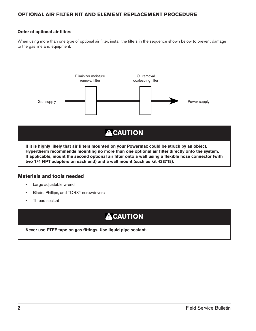# **OPTIONAL AIR FILTER KIT AND ELEMENT REPLACEMENT PROCEDURE**

### <span id="page-3-0"></span>**Order of optional air filters**

When using more than one type of optional air filter, install the filters in the sequence shown below to prevent damage to the gas line and equipment.



# **ACAUTION**

**If it is highly likely that air filters mounted on your Powermax could be struck by an object, Hypertherm recommends mounting no more than one optional air filter directly onto the system. If applicable, mount the second optional air filter onto a wall using a flexible hose connector (with two 1/4 NPT adapters on each end) and a wall mount (such as kit 428718).**

### **Materials and tools needed**

- Large adjustable wrench
- Blade, Phillips, and TORX® screwdrivers
- Thread sealant

# **ACAUTION**

**Never use PTFE tape on gas fittings. Use liquid pipe sealant.**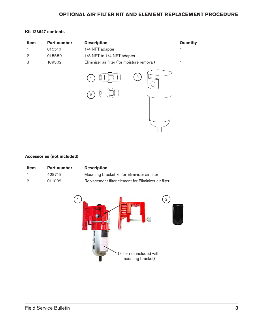### **Kit 128647 contents**

| Item           | Part number | <b>Description</b>                           | Quantity |
|----------------|-------------|----------------------------------------------|----------|
| 1              | 015510      | 1/4 NPT adapter                              |          |
| $\overline{2}$ | 015589      | 1/8 NPT to 1/4 NPT adapter                   | 1        |
| 3              | 109302      | Eliminizer air filter (for moisture removal) | 1        |
|                |             | 3<br>10<br>$\overline{2}$                    |          |

### **Accessories (not included)**

| <b>Item</b> | <b>Part number</b> | <b>Description</b>                                   |
|-------------|--------------------|------------------------------------------------------|
|             | 428718             | Mounting bracket kit for Eliminizer air filter       |
| - 2         | 011092             | Replacement filter element for Eliminizer air filter |

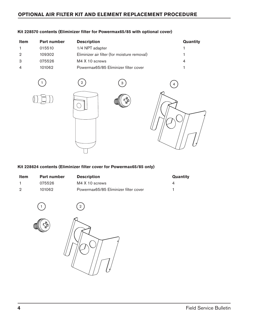# **OPTIONAL AIR FILTER KIT AND ELEMENT REPLACEMENT PROCEDURE**

| Item | <b>Part number</b> | <b>Description</b>                           | Quantity |
|------|--------------------|----------------------------------------------|----------|
|      | 015510             | 1/4 NPT adapter                              |          |
| 2    | 109302             | Eliminizer air filter (for moisture removal) |          |
| 3    | 075526             | M4 X 10 screws                               | 4        |
| 4    | 101062             | Powermax65/85 Eliminizer filter cover        |          |

### **Kit 228570 contents (Eliminizer filter for Powermax65/85 with optional cover)**







**Kit 228624 contents (Eliminizer filter cover for Powermax65/85 only)**

| <b>Item</b> | <b>Part number</b> | <b>Description</b>                    | <b>Quantity</b> |
|-------------|--------------------|---------------------------------------|-----------------|
|             | 075526             | M4 X 10 screws                        |                 |
|             | 101062             | Powermax65/85 Eliminizer filter cover |                 |





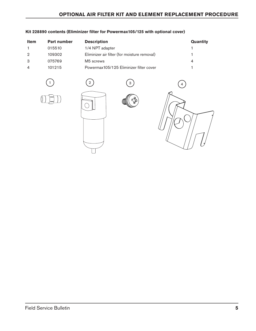# **OPTIONAL AIR FILTER KIT AND ELEMENT REPLACEMENT PROCEDURE**

| <b>Item</b> | <b>Part number</b> | <b>Description</b>                           | Quantity |
|-------------|--------------------|----------------------------------------------|----------|
|             | 015510             | 1/4 NPT adapter                              |          |
|             | 109302             | Eliminizer air filter (for moisture removal) |          |
|             | 075769             | M <sub>5</sub> screws                        | 4        |
|             | 101215             | Powermax105/125 Eliminizer filter cover      |          |

## **Kit 228890 contents (Eliminizer filter for Powermax105/125 with optional cover)**



$$
\bigcirc
$$









# Field Service Bulletin **5**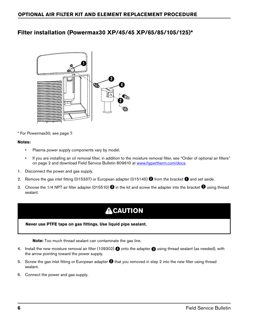# **Filter installation (Powermax30 XP/45/45 XP/65/85/105/125)\***



\* For Powermax30, see [page 7.](#page-8-0)

### **Notes:**

- Plasma power supply components vary by model.
- If you are installing an oil removal filter, in addition to the moisture removal filter, see ["Order of optional air filters"](#page-3-0)  [on page 2](#page-3-0) and download Field Service Bulletin 809610 at [www.hypertherm.com/docs](http://www.hypertherm.com/docs).
- 1. Disconnect the power and gas supply.
- 2. Remove the gas inlet fitting (015337) or European adapter (015145) **2** from the bracket **1** and set aside.
- 3. Choose the 1/4 NPT air filter adapter (015510)  $\bullet$  in the kit and screw the adapter into the bracket  $\bullet$  using thread sealant.

# **ACAUTION**

#### **Never use PTFE tape on gas fittings. Use liquid pipe sealant.**

**Note:** Too much thread sealant can contaminate the gas line.

- 4. Install the new moisture removal air filter (109302) **4** onto the adapter **3** using thread sealant (as needed), with the arrow pointing toward the power supply.
- 5. Screw the gas inlet fitting or European adapter **2** that you removed in step [2](#page-8-1) into the new filter using thread sealant.
- 6. Connect the power and gas supply.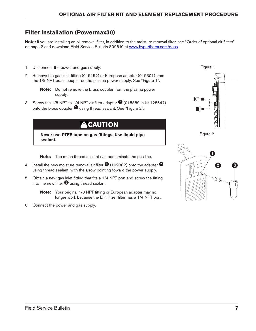# <span id="page-8-0"></span>**Filter installation (Powermax30)**

**Note:** If you are installing an oil removal filter, in addition to the moisture removal filter, see "Order of optional air filters" [on page 2](#page-3-0) and download Field Service Bulletin 809610 at [www.hypertherm.com/docs](http://www.hypertherm.com/docs).

- 1. Disconnect the power and gas supply.
- <span id="page-8-1"></span>2. Remove the gas inlet fitting (015152) or European adapter (015301) from the 1/8 NPT brass coupler on the plasma power supply. See ["Figure 1".](#page-8-2)

**Note:** Do not remove the brass coupler from the plasma power supply.

3. Screw the 1/8 NPT to 1/4 NPT air filter adapter **2** (015589 in kit 128647) onto the brass coupler  $\bullet$  using thread sealant. See ["Figure 2".](#page-8-3)

**A CAUTION** 

**Never use PTFE tape on gas fittings. Use liquid pipe sealant.**

**Note:** Too much thread sealant can contaminate the gas line.

- 4. Install the new moisture removal air filter **3** (109302) onto the adapter **2** using thread sealant, with the arrow pointing toward the power supply.
- 5. Obtain a new gas inlet fitting that fits a 1/4 NPT port and screw the fitting into the new filter  $\bullet$  using thread sealant.

**Note:** Your original 1/8 NPT fitting or European adapter may no longer work because the Eliminizer filter has a 1/4 NPT port.

6. Connect the power and gas supply.

<span id="page-8-2"></span>

<span id="page-8-3"></span>

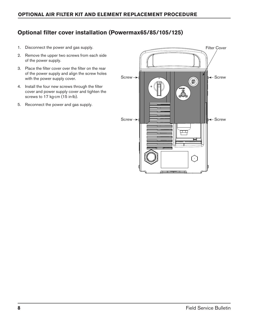# **Optional filter cover installation (Powermax65/85/105/125)**

- 1. Disconnect the power and gas supply.
- 2. Remove the upper two screws from each side of the power supply.
- 3. Place the filter cover over the filter on the rear of the power supply and align the screw holes with the power supply cover.
- 4. Install the four new screws through the filter cover and power supply cover and tighten the screws to 17 kg∙cm (15 in∙lb).
- 5. Reconnect the power and gas supply.

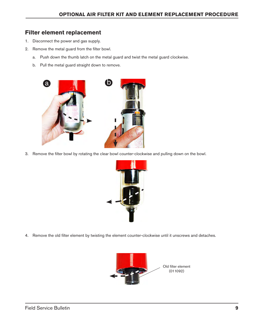# **Filter element replacement**

- 1. Disconnect the power and gas supply.
- 2. Remove the metal guard from the filter bowl.
	- a. Push down the thumb latch on the metal guard and twist the metal guard clockwise.
	- b. Pull the metal guard straight down to remove.



3. Remove the filter bowl by rotating the clear bowl counter-clockwise and pulling down on the bowl.



4. Remove the old filter element by twisting the element counter-clockwise until it unscrews and detaches.

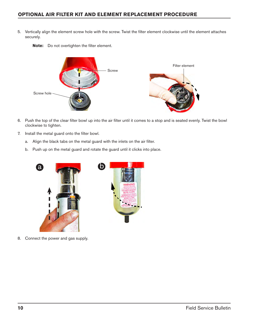# **OPTIONAL AIR FILTER KIT AND ELEMENT REPLACEMENT PROCEDURE**

5. Vertically align the element screw hole with the screw. Twist the filter element clockwise until the element attaches securely.



**Note:** Do not overtighten the filter element.

- 6. Push the top of the clear filter bowl up into the air filter until it comes to a stop and is seated evenly. Twist the bowl clockwise to tighten.
- 7. Install the metal guard onto the filter bowl.
	- a. Align the black tabs on the metal guard with the inlets on the air filter.
	- b. Push up on the metal guard and rotate the guard until it clicks into place.



8. Connect the power and gas supply.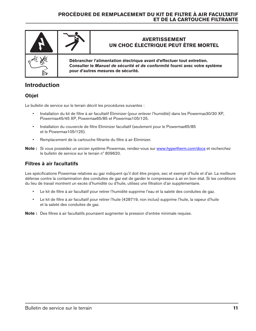

# **Introduction**

## **Objet**

Le bulletin de service sur le terrain décrit les procédures suivantes :

- Installation du kit de filtre à air facultatif Eliminizer (pour enlever l'humidité) dans les Powermax30/30 XP, Powermax45/45 XP, Powermax65/85 et Powermax105/125.
- Installation du couvercle de filtre Eliminizer facultatif (seulement pour le Powermax65/85 et le Powermax105/125).
- Remplacement de la cartouche filtrante du filtre à air Eliminizer.
- Note : Si vous possédez un ancien système Powermax, rendez-vous sur [www.hypertherm.com/docs](https://www.hypertherm.com/en-US/customer-support/documents-library/) et recherchez le bulletin de service sur le terrain nº 809620.

## **Filtres à air facultatifs**

Les spécifications Powermax relatives au gaz indiquent qu'il doit être propre, sec et exempt d'huile et d'air. La meilleure défense contre la contamination des conduites de gaz est de garder le compresseur à air en bon état. Si les conditions du lieu de travail montrent un excès d'humidité ou d'huile, utilisez une filtration d'air supplémentaire.

- Le kit de filtre à air facultatif pour retirer l'humidité supprime l'eau et la saleté des conduites de gaz.
- Le kit de filtre à air facultatif pour retirer l'huile (428719, non inclus) supprime l'huile, la vapeur d'huile et la saleté des conduites de gaz.

**Note :** Des filtres à air facultatifs pourraient augmenter la pression d'entrée minimale requise.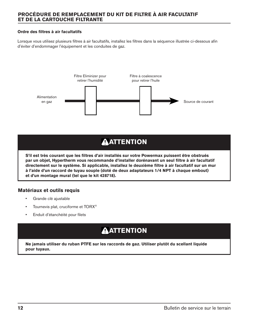### <span id="page-13-0"></span>**Ordre des filtres à air facultatifs**

Lorsque vous utilisez plusieurs filtres à air facultatifs, installez les filtres dans la séquence illustrée ci-dessous afin d'éviter d'endommager l'équipement et les conduites de gaz.



# **AATTENTION**

**S'il est très courant que les filtres d'air installés sur votre Powermax puissent être obstrués par un objet, Hypertherm vous recommande d'installer dorénavant un seul filtre à air facultatif directement sur le système. Si applicable, installez le deuxième filtre à air facultatif sur un mur à l'aide d'un raccord de tuyau souple (doté de deux adaptateurs 1/4 NPT à chaque embout) et d'un montage mural (tel que le kit 428718).**

## **Matériaux et outils requis**

- Grande clé ajustable
- **•** Tournevis plat, cruciforme et TORX<sup>®</sup>
- Enduit d'étanchéité pour filets

# **AATTENTION**

**Ne jamais utiliser du ruban PTFE sur les raccords de gaz. Utiliser plutôt du scellant liquide pour tuyaux.**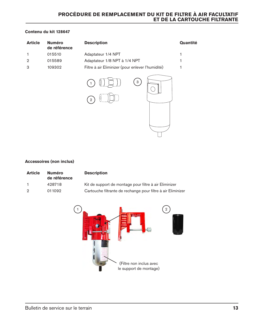### **Contenu du kit 128647**

| <b>Article</b> | <b>Numéro</b><br>de référence | <b>Description</b>                                | Quantité |
|----------------|-------------------------------|---------------------------------------------------|----------|
|                | 015510                        | Adaptateur 1/4 NPT                                | 1        |
| $\overline{2}$ | 015589                        | Adaptateur 1/8 NPT à 1/4 NPT                      |          |
| 3              | 109302                        | Filtre à air Eliminizer (pour enlever l'humidité) |          |
|                |                               | 3<br>U.<br>10<br>$\overline{2}$                   |          |

### **Accessoires (non inclus)**

| <b>Article</b> | <b>Numéro</b><br>de référence | <b>Description</b>                                           |
|----------------|-------------------------------|--------------------------------------------------------------|
|                | 428718                        | Kit de support de montage pour filtre à air Eliminizer       |
| 2              | 011092                        | Cartouche filtrante de rechange pour filtre à air Eliminizer |

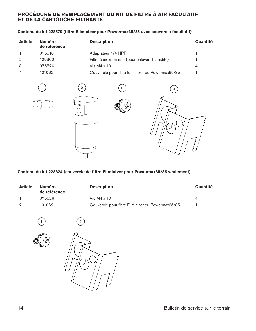### **Contenu du kit 228570 (filtre Eliminizer pour Powermax65/85 avec couvercle facultatif)**

| <b>Article</b> | <b>Numéro</b><br>de référence | <b>Description</b>                                | Quantité |
|----------------|-------------------------------|---------------------------------------------------|----------|
|                | 015510                        | Adaptateur 1/4 NPT                                |          |
| $\mathcal{P}$  | 109302                        | Filtre à air Eliminizer (pour enlever l'humidité) |          |
| 3              | 075526                        | Vis M $4 \times 10$                               | 4        |
| $\overline{4}$ | 101062                        | Couvercle pour filtre Eliminizer du Powermax65/85 |          |



### **Contenu du kit 228624 (couvercle de filtre Eliminizer pour Powermax65/85 seulement)**

| <b>Article</b> | <b>Numéro</b><br>de référence | <b>Description</b>                                | Quantité |
|----------------|-------------------------------|---------------------------------------------------|----------|
|                | 075526                        | Vis M4 $\times$ 10                                |          |
| $\mathcal{D}$  | 101062                        | Couvercle pour filtre Eliminizer du Powermax65/85 |          |



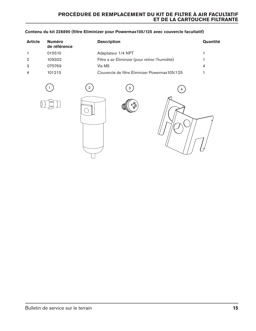### **Contenu du kit 228890 (filtre Eliminizer pour Powermax105/125 avec couvercle facultatif)**

| <b>Article</b> | <b>Numéro</b><br>de référence | <b>Description</b>                                | Quantité |
|----------------|-------------------------------|---------------------------------------------------|----------|
|                | 015510                        | Adaptateur 1/4 NPT                                |          |
| $\mathcal{P}$  | 109302                        | Filtre à air Eliminizer (pour retirer l'humidité) |          |
| -3             | 075769                        | Vis M5                                            | 4        |
| $\overline{4}$ | 101215                        | Couvercle de filtre Eliminizer Powermax105/125    |          |







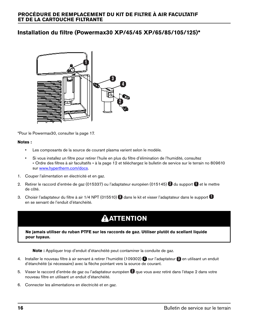# **Installation du filtre (Powermax30 XP/45/45 XP/65/85/105/125)\***



\*Pour le Powermax30, consulter la [page 17](#page-18-0).

#### **Notes :**

- Les composants de la source de courant plasma varient selon le modèle.
- Si vous installez un filtre pour retirer l'huile en plus du filtre d'élimination de l'humidité, consultez [« Ordre des filtres à air facultatifs » à la page 12](#page-13-0) et téléchargez le bulletin de service sur le terrain no 809610 sur [www.hypertherm.com/docs](http://www.hypertherm.com/docs).
- 1. Couper l'alimentation en électricité et en gaz.
- 2. Retirer le raccord d'entrée de gaz (015337) ou l'adaptateur européen (015145) a du support  $\Box$  et le mettre de côté.
- 3. Choisir l'adaptateur du filtre à air 1/4 NPT (015510)  $\bullet$  dans le kit et visser l'adaptateur dans le support  $\bullet$ en se servant de l'enduit d'étanchéité.

# **ATTENTION**

**Ne jamais utiliser du ruban PTFE sur les raccords de gaz. Utiliser plutôt du scellant liquide pour tuyaux.**

**Note :** Appliquer trop d'enduit d'étanchéité peut contaminer la conduite de gaz.

- 4. Installer le nouveau filtre à air servant à retirer l'humidité (109302) sur l'adaptateur <sup>8</sup> en utilisant un enduit d'étanchéité (si nécessaire) avec la flèche pointant vers la source de courant.
- 5. Visser le raccord d'entrée de gaz ou l'adaptateur européen que vous avez retiré dans l'étape [2](#page-18-1) dans votre nouveau filtre en utilisant un enduit d'étanchéité.
- 6. Connecter les alimentations en électricité et en gaz.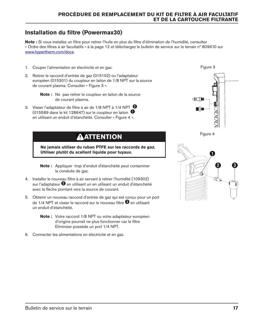# <span id="page-18-0"></span>**Installation du filtre (Powermax30)**

**Note :** Si vous installez un filtre pour retirer l'huile en plus du filtre d'élimination de l'humidité, consultez [« Ordre des filtres à air facultatifs » à la page 12](#page-13-0) et téléchargez le bulletin de service sur le terrain nº 809610 sur [www.hypertherm.com/docs](http://www.hypertherm.com/docs).

- 1. Couper l'alimentation en électricité et en gaz.
- <span id="page-18-1"></span>2. Retirer le raccord d'entrée de gaz (015152) ou l'adaptateur européen (015301) du coupleur en laiton de 1/8 NPT sur la source de courant plasma. Consulter « [Figure 3](#page-18-2) ».
	- **Note :** Ne pas retirer le coupleur en laiton de la source de courant plasma.
- 3. Visser l'adaptateur de filtre à air de 1/8 NPT à 1/4 NPT **2** (015589 dans le kit 128647) sur le coupleur en laiton **1** en utilisant un enduit d'étanchéité. Consulter « [Figure 4](#page-18-3) ».

# **ATTENTION**

**Ne jamais utiliser du ruban PTFE sur les raccords de gaz. Utiliser plutôt du scellant liquide pour tuyaux.**

**Note :** Appliquer trop d'enduit d'étanchéité peut contaminer la conduite de gaz.

- 4. Installer le nouveau filtre à air servant à retirer l'humidité (109302) sur l'adaptateur **2** en utilisant un en utilisant un enduit d'étanchéité avec la flèche pointant vers la source de courant.
- 5. Obtenir un nouveau raccord d'entrée de gaz qui est conçu pour un port de 1/4 NPT et visser le raccord sur le nouveau filtre **3** en utilisant un enduit d'étanchéité.
	- **Note :** Votre raccord 1/8 NPT ou votre adaptateur européen d'origine pourrait ne plus fonctionner car le filtre Eliminizer possède un port 1/4 NPT.
- 6. Connecter les alimentations en électricité et en gaz.

<span id="page-18-2"></span>

<span id="page-18-3"></span>

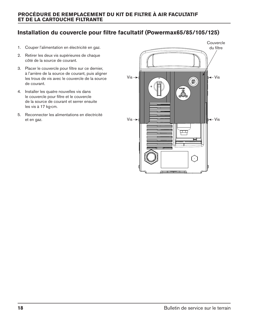# **Installation du couvercle pour filtre facultatif (Powermax65/85/105/125)**

- 1. Couper l'alimentation en électricité en gaz.
- 2. Retirer les deux vis supérieures de chaque côté de la source de courant.
- 3. Placer le couvercle pour filtre sur ce dernier, à l'arrière de la source de courant, puis aligner les trous de vis avec le couvercle de la source de courant.
- 4. Installer les quatre nouvelles vis dans le couvercle pour filtre et le couvercle de la source de courant et serrer ensuite les vis à 17 kg∙cm.
- 5. Reconnecter les alimentations en électricité et en gaz.

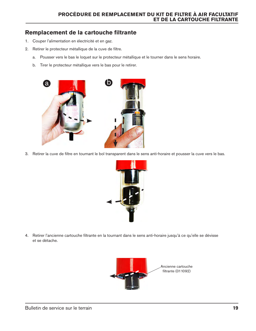# **Remplacement de la cartouche filtrante**

- 1. Couper l'alimentation en électricité et en gaz.
- 2. Retirer le protecteur métallique de la cuve de filtre.
	- a. Pousser vers le bas le loquet sur le protecteur métallique et le tourner dans le sens horaire.
	- b. Tirer le protecteur métallique vers le bas pour le retirer.



3. Retirer la cuve de filtre en tournant le bol transparent dans le sens anti-horaire et pousser la cuve vers le bas.



4. Retirer l'ancienne cartouche filtrante en la tournant dans le sens anti-horaire jusqu'à ce qu'elle se dévisse et se détache.